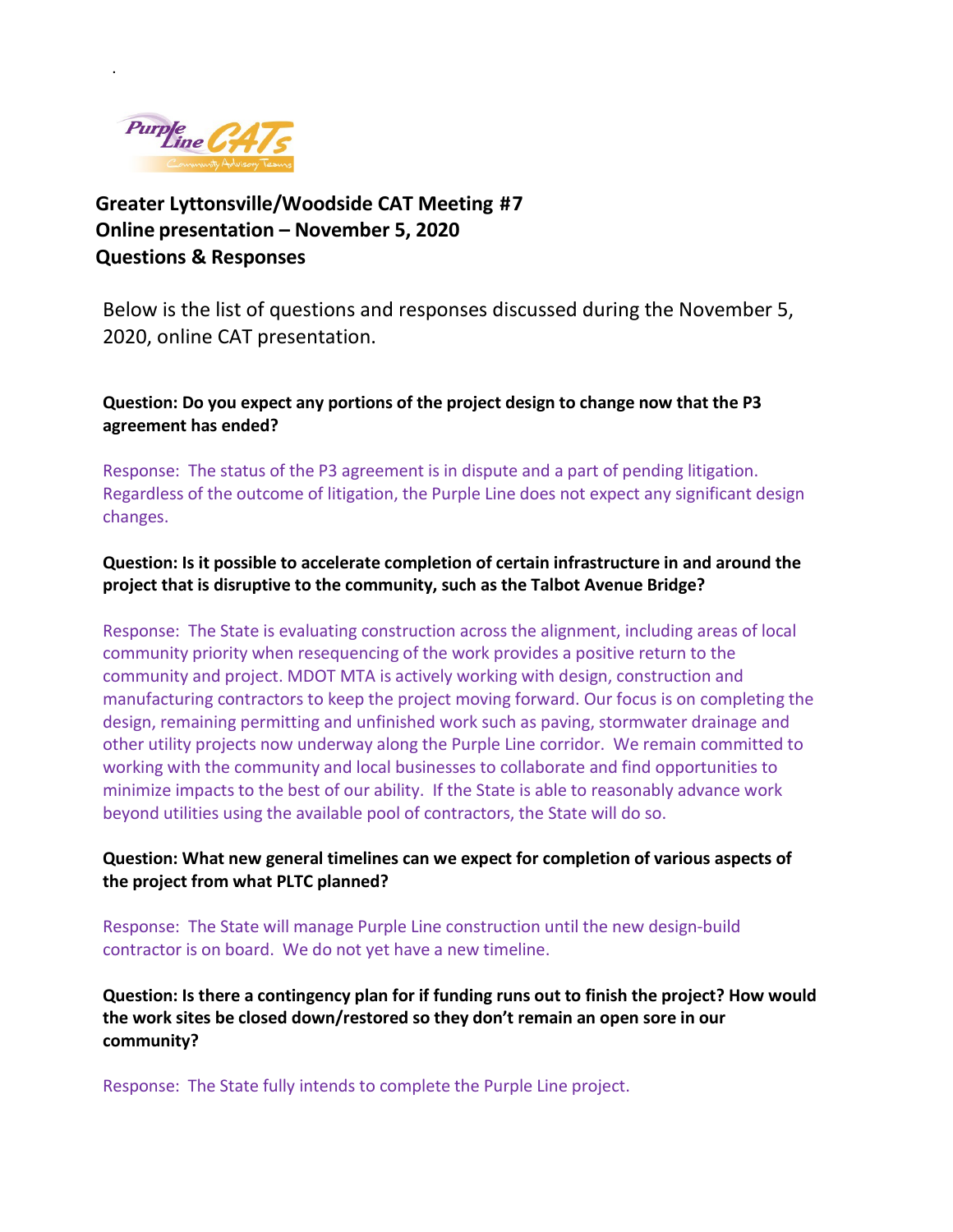

.

**Greater Lyttonsville/Woodside CAT Meeting #7 Online presentation – November 5, 2020 Questions & Responses** 

Below is the list of questions and responses discussed during the November 5, 2020, online CAT presentation.

**Question: Do you expect any portions of the project design to change now that the P3 agreement has ended?**

Response: The status of the P3 agreement is in dispute and a part of pending litigation. Regardless of the outcome of litigation, the Purple Line does not expect any significant design changes.

**Question: Is it possible to accelerate completion of certain infrastructure in and around the project that is disruptive to the community, such as the Talbot Avenue Bridge?**

Response: The State is evaluating construction across the alignment, including areas of local community priority when resequencing of the work provides a positive return to the community and project. MDOT MTA is actively working with design, construction and manufacturing contractors to keep the project moving forward. Our focus is on completing the design, remaining permitting and unfinished work such as paving, stormwater drainage and other utility projects now underway along the Purple Line corridor. We remain committed to working with the community and local businesses to collaborate and find opportunities to minimize impacts to the best of our ability. If the State is able to reasonably advance work beyond utilities using the available pool of contractors, the State will do so.

**Question: What new general timelines can we expect for completion of various aspects of the project from what PLTC planned?**

Response: The State will manage Purple Line construction until the new design-build contractor is on board. We do not yet have a new timeline.

**Question: Is there a contingency plan for if funding runs out to finish the project? How would the work sites be closed down/restored so they don't remain an open sore in our community?**

Response: The State fully intends to complete the Purple Line project.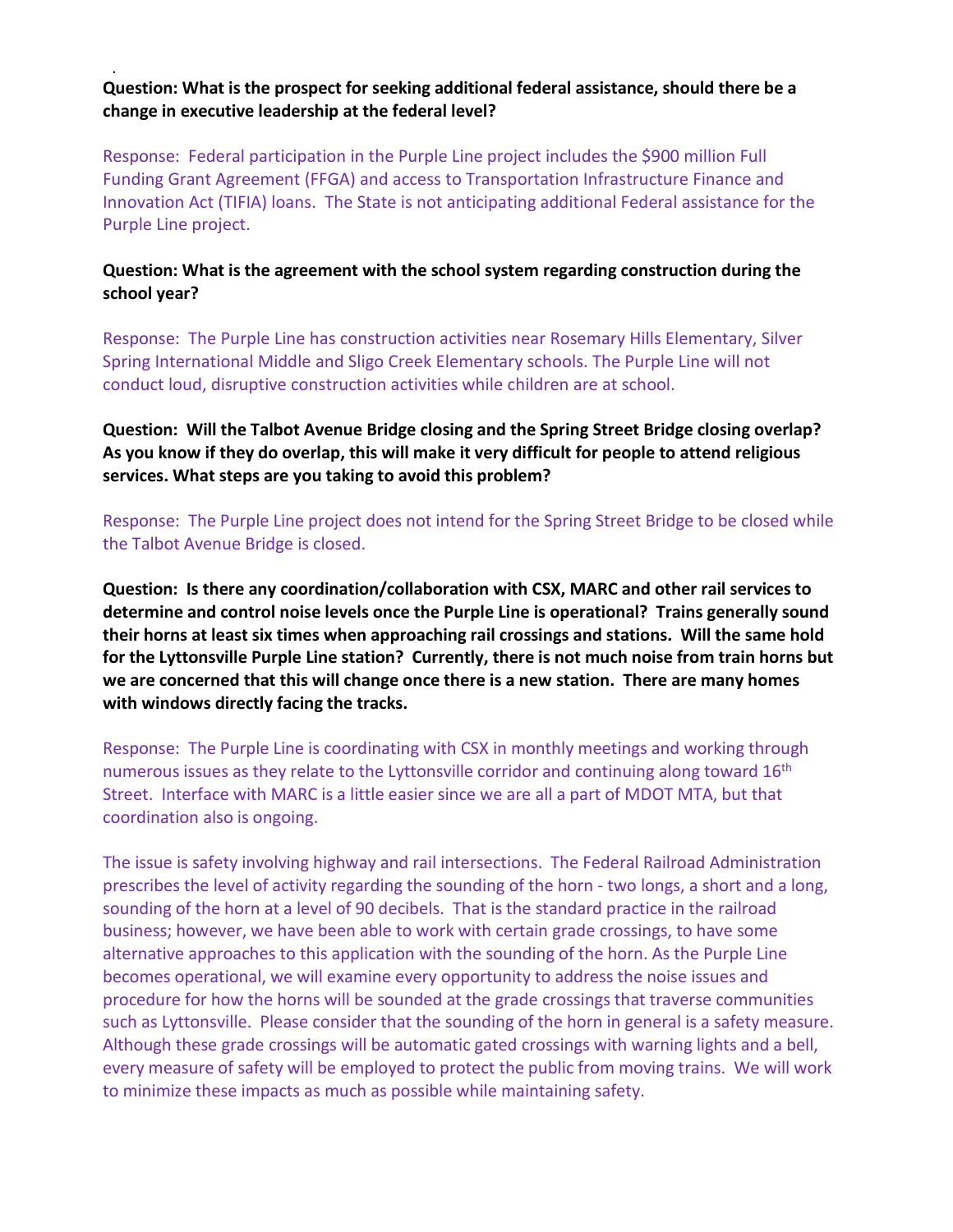## . **Question: What is the prospect for seeking additional federal assistance, should there be a change in executive leadership at the federal level?**

Response: Federal participation in the Purple Line project includes the \$900 million Full Funding Grant Agreement (FFGA) and access to Transportation Infrastructure Finance and Innovation Act (TIFIA) loans. The State is not anticipating additional Federal assistance for the Purple Line project.

## **Question: What is the agreement with the school system regarding construction during the school year?**

Response: The Purple Line has construction activities near Rosemary Hills Elementary, Silver Spring International Middle and Sligo Creek Elementary schools. The Purple Line will not conduct loud, disruptive construction activities while children are at school.

**Question: Will the Talbot Avenue Bridge closing and the Spring Street Bridge closing overlap? As you know if they do overlap, this will make it very difficult for people to attend religious services. What steps are you taking to avoid this problem?**

Response: The Purple Line project does not intend for the Spring Street Bridge to be closed while the Talbot Avenue Bridge is closed.

**Question: Is there any coordination/collaboration with CSX, MARC and other rail services to determine and control noise levels once the Purple Line is operational? Trains generally sound their horns at least six times when approaching rail crossings and stations. Will the same hold for the Lyttonsville Purple Line station? Currently, there is not much noise from train horns but we are concerned that this will change once there is a new station. There are many homes with windows directly facing the tracks.**

Response: The Purple Line is coordinating with CSX in monthly meetings and working through numerous issues as they relate to the Lyttonsville corridor and continuing along toward  $16<sup>th</sup>$ Street. Interface with MARC is a little easier since we are all a part of MDOT MTA, but that coordination also is ongoing.

The issue is safety involving highway and rail intersections. The Federal Railroad Administration prescribes the level of activity regarding the sounding of the horn - two longs, a short and a long, sounding of the horn at a level of 90 decibels. That is the standard practice in the railroad business; however, we have been able to work with certain grade crossings, to have some alternative approaches to this application with the sounding of the horn. As the Purple Line becomes operational, we will examine every opportunity to address the noise issues and procedure for how the horns will be sounded at the grade crossings that traverse communities such as Lyttonsville. Please consider that the sounding of the horn in general is a safety measure. Although these grade crossings will be automatic gated crossings with warning lights and a bell, every measure of safety will be employed to protect the public from moving trains. We will work to minimize these impacts as much as possible while maintaining safety.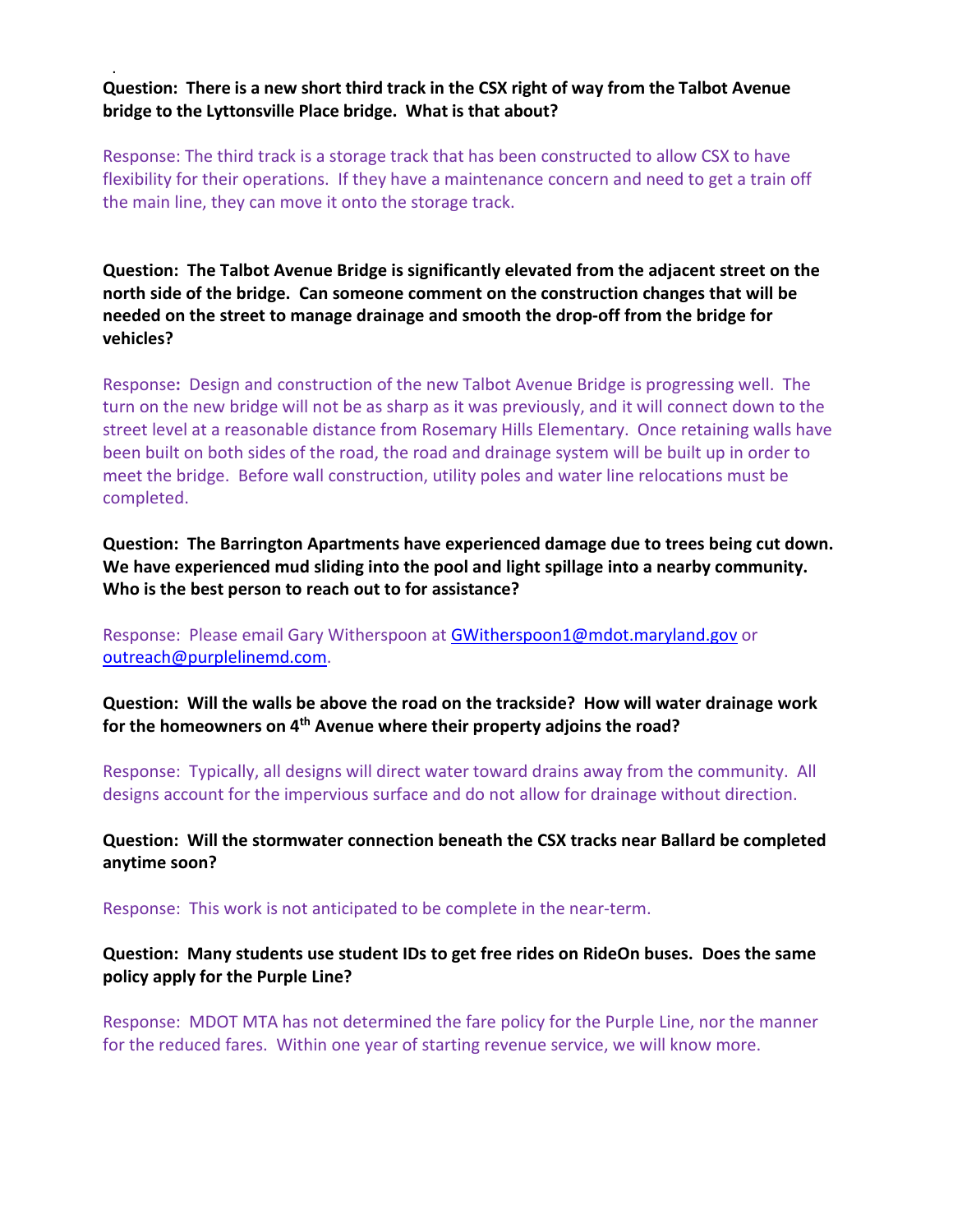. **Question: There is a new short third track in the CSX right of way from the Talbot Avenue bridge to the Lyttonsville Place bridge. What is that about?**

Response: The third track is a storage track that has been constructed to allow CSX to have flexibility for their operations. If they have a maintenance concern and need to get a train off the main line, they can move it onto the storage track.

**Question: The Talbot Avenue Bridge is significantly elevated from the adjacent street on the north side of the bridge. Can someone comment on the construction changes that will be needed on the street to manage drainage and smooth the drop-off from the bridge for vehicles?**

Response**:** Design and construction of the new Talbot Avenue Bridge is progressing well. The turn on the new bridge will not be as sharp as it was previously, and it will connect down to the street level at a reasonable distance from Rosemary Hills Elementary. Once retaining walls have been built on both sides of the road, the road and drainage system will be built up in order to meet the bridge. Before wall construction, utility poles and water line relocations must be completed.

**Question: The Barrington Apartments have experienced damage due to trees being cut down. We have experienced mud sliding into the pool and light spillage into a nearby community. Who is the best person to reach out to for assistance?**

Response:Please email Gary Witherspoon a[t GWitherspoon1@mdot.maryland.gov](mailto:GWitherspoon1@mdot.maryland.gov) or [outreach@purplelinemd.com.](mailto:outreach@purplelinemd.com)

**Question: Will the walls be above the road on the trackside? How will water drainage work for the homeowners on 4th Avenue where their property adjoins the road?**

Response:Typically, all designs will direct water toward drains away from the community. All designs account for the impervious surface and do not allow for drainage without direction.

**Question: Will the stormwater connection beneath the CSX tracks near Ballard be completed anytime soon?**

Response:This work is not anticipated to be complete in the near-term.

**Question: Many students use student IDs to get free rides on RideOn buses. Does the same policy apply for the Purple Line?** 

Response:MDOT MTA has not determined the fare policy for the Purple Line, nor the manner for the reduced fares. Within one year of starting revenue service, we will know more.